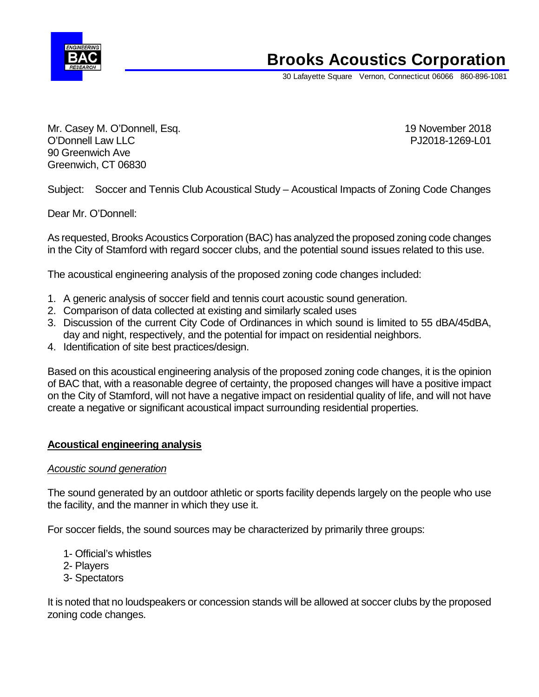

# **Brooks Acoustics Corporation**

30 Lafayette Square Vernon, Connecticut 06066 860-896-1081

Mr. Casey M. O'Donnell, Esq. 19 November 2018 O'Donnell Law LLC **PJ2018-1269-L01** 90 Greenwich Ave Greenwich, CT 06830

Subject: Soccer and Tennis Club Acoustical Study – Acoustical Impacts of Zoning Code Changes

Dear Mr. O'Donnell:

As requested, Brooks Acoustics Corporation (BAC) has analyzed the proposed zoning code changes in the City of Stamford with regard soccer clubs, and the potential sound issues related to this use.

The acoustical engineering analysis of the proposed zoning code changes included:

- 1. A generic analysis of soccer field and tennis court acoustic sound generation.
- 2. Comparison of data collected at existing and similarly scaled uses
- 3. Discussion of the current City Code of Ordinances in which sound is limited to 55 dBA/45dBA, day and night, respectively, and the potential for impact on residential neighbors.
- 4. Identification of site best practices/design.

Based on this acoustical engineering analysis of the proposed zoning code changes, it is the opinion of BAC that, with a reasonable degree of certainty, the proposed changes will have a positive impact on the City of Stamford, will not have a negative impact on residential quality of life, and will not have create a negative or significant acoustical impact surrounding residential properties.

# **Acoustical engineering analysis**

# *Acoustic sound generation*

The sound generated by an outdoor athletic or sports facility depends largely on the people who use the facility, and the manner in which they use it.

For soccer fields, the sound sources may be characterized by primarily three groups:

- 1- Official's whistles
- 2- Players
- 3- Spectators

It is noted that no loudspeakers or concession stands will be allowed at soccer clubs by the proposed zoning code changes.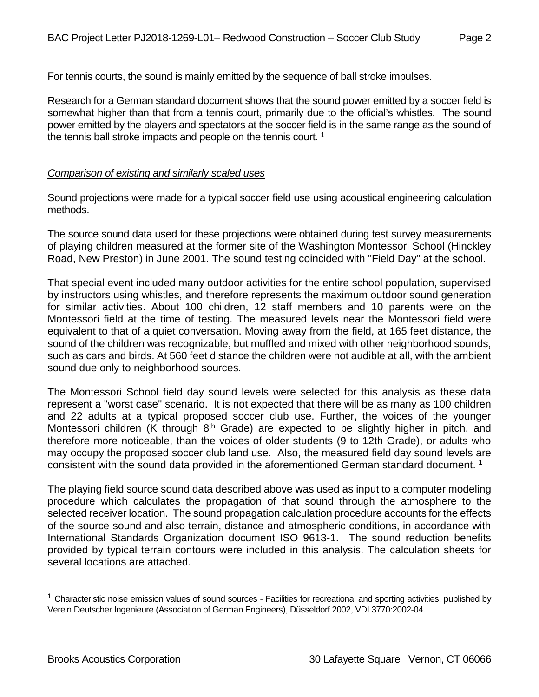For tennis courts, the sound is mainly emitted by the sequence of ball stroke impulses.

Research for a German standard document shows that the sound power emitted by a soccer field is somewhat higher than that from a tennis court, primarily due to the official's whistles. The sound power emitted by the players and spectators at the soccer field is in the same range as the sound of the tennis ball stroke impacts and people on the tennis court.<sup>1</sup>

# *Comparison of existing and similarly scaled uses*

Sound projections were made for a typical soccer field use using acoustical engineering calculation methods.

The source sound data used for these projections were obtained during test survey measurements of playing children measured at the former site of the Washington Montessori School (Hinckley Road, New Preston) in June 2001. The sound testing coincided with "Field Day" at the school.

That special event included many outdoor activities for the entire school population, supervised by instructors using whistles, and therefore represents the maximum outdoor sound generation for similar activities. About 100 children, 12 staff members and 10 parents were on the Montessori field at the time of testing. The measured levels near the Montessori field were equivalent to that of a quiet conversation. Moving away from the field, at 165 feet distance, the sound of the children was recognizable, but muffled and mixed with other neighborhood sounds, such as cars and birds. At 560 feet distance the children were not audible at all, with the ambient sound due only to neighborhood sources.

The Montessori School field day sound levels were selected for this analysis as these data represent a "worst case" scenario. It is not expected that there will be as many as 100 children and 22 adults at a typical proposed soccer club use. Further, the voices of the younger Montessori children (K through  $8<sup>th</sup>$  Grade) are expected to be slightly higher in pitch, and therefore more noticeable, than the voices of older students (9 to 12th Grade), or adults who may occupy the proposed soccer club land use. Also, the measured field day sound levels are consistent with the sound data provided in the aforementioned German standard document. 1

The playing field source sound data described above was used as input to a computer modeling procedure which calculates the propagation of that sound through the atmosphere to the selected receiver location. The sound propagation calculation procedure accounts for the effects of the source sound and also terrain, distance and atmospheric conditions, in accordance with International Standards Organization document ISO 9613-1. The sound reduction benefits provided by typical terrain contours were included in this analysis. The calculation sheets for several locations are attached.

 $1$  Characteristic noise emission values of sound sources - Facilities for recreational and sporting activities, published by Verein Deutscher Ingenieure (Association of German Engineers), Düsseldorf 2002, VDI 3770:2002-04.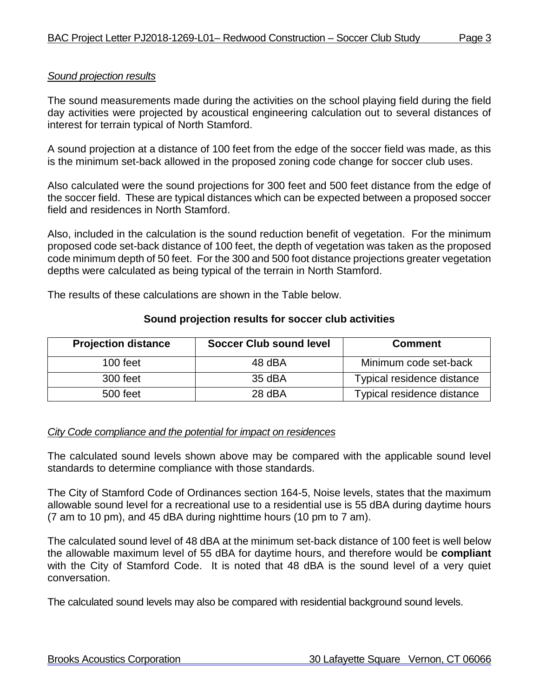# *Sound projection results*

The sound measurements made during the activities on the school playing field during the field day activities were projected by acoustical engineering calculation out to several distances of interest for terrain typical of North Stamford.

A sound projection at a distance of 100 feet from the edge of the soccer field was made, as this is the minimum set-back allowed in the proposed zoning code change for soccer club uses.

Also calculated were the sound projections for 300 feet and 500 feet distance from the edge of the soccer field. These are typical distances which can be expected between a proposed soccer field and residences in North Stamford.

Also, included in the calculation is the sound reduction benefit of vegetation. For the minimum proposed code set-back distance of 100 feet, the depth of vegetation was taken as the proposed code minimum depth of 50 feet. For the 300 and 500 foot distance projections greater vegetation depths were calculated as being typical of the terrain in North Stamford.

The results of these calculations are shown in the Table below.

# **Sound projection results for soccer club activities**

| <b>Projection distance</b> | <b>Soccer Club sound level</b> | <b>Comment</b>             |
|----------------------------|--------------------------------|----------------------------|
| $100$ feet                 | 48 dBA                         | Minimum code set-back      |
| 300 feet                   | 35 dBA                         | Typical residence distance |
| 500 feet                   | 28 dBA                         | Typical residence distance |

# *City Code compliance and the potential for impact on residences*

The calculated sound levels shown above may be compared with the applicable sound level standards to determine compliance with those standards.

The City of Stamford Code of Ordinances section 164-5, Noise levels, states that the maximum allowable sound level for a recreational use to a residential use is 55 dBA during daytime hours (7 am to 10 pm), and 45 dBA during nighttime hours (10 pm to 7 am).

The calculated sound level of 48 dBA at the minimum set-back distance of 100 feet is well below the allowable maximum level of 55 dBA for daytime hours, and therefore would be **compliant**  with the City of Stamford Code. It is noted that 48 dBA is the sound level of a very quiet conversation.

The calculated sound levels may also be compared with residential background sound levels.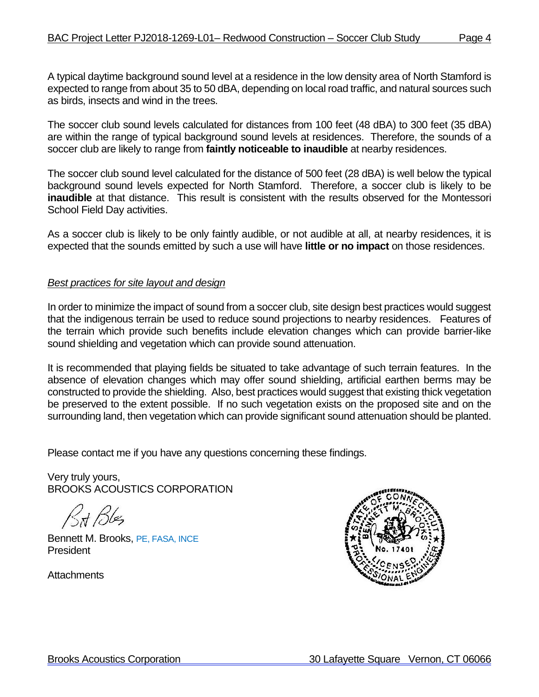A typical daytime background sound level at a residence in the low density area of North Stamford is expected to range from about 35 to 50 dBA, depending on local road traffic, and natural sources such as birds, insects and wind in the trees.

The soccer club sound levels calculated for distances from 100 feet (48 dBA) to 300 feet (35 dBA) are within the range of typical background sound levels at residences. Therefore, the sounds of a soccer club are likely to range from **faintly noticeable to inaudible** at nearby residences.

The soccer club sound level calculated for the distance of 500 feet (28 dBA) is well below the typical background sound levels expected for North Stamford. Therefore, a soccer club is likely to be **inaudible** at that distance. This result is consistent with the results observed for the Montessori School Field Day activities.

As a soccer club is likely to be only faintly audible, or not audible at all, at nearby residences, it is expected that the sounds emitted by such a use will have **little or no impact** on those residences.

# *Best practices for site layout and design*

In order to minimize the impact of sound from a soccer club, site design best practices would suggest that the indigenous terrain be used to reduce sound projections to nearby residences. Features of the terrain which provide such benefits include elevation changes which can provide barrier-like sound shielding and vegetation which can provide sound attenuation.

It is recommended that playing fields be situated to take advantage of such terrain features. In the absence of elevation changes which may offer sound shielding, artificial earthen berms may be constructed to provide the shielding. Also, best practices would suggest that existing thick vegetation be preserved to the extent possible. If no such vegetation exists on the proposed site and on the surrounding land, then vegetation which can provide significant sound attenuation should be planted.

Please contact me if you have any questions concerning these findings.

Very truly yours, BROOKS ACOUSTICS CORPORATION

Bit Bles

Bennett M. Brooks, PE, FASA, INCE President

Attachments

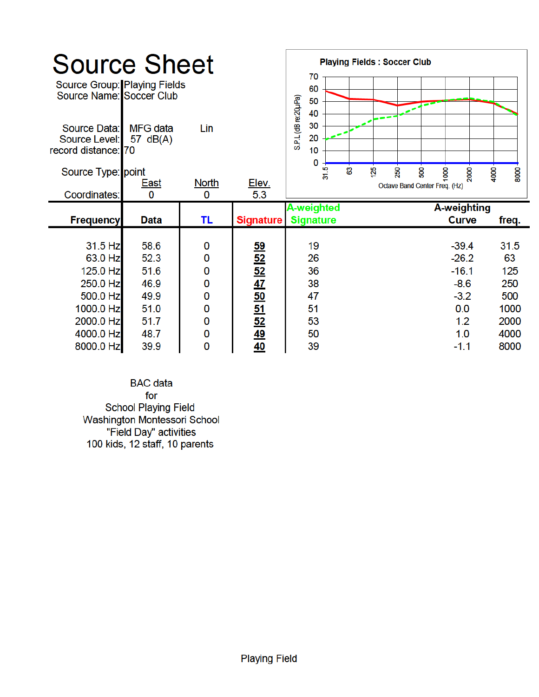| <b>Source Sheet</b><br>Source Group: Playing Fields<br>Source Name: Soccer Club<br>Source Data:<br>Source Level:<br>record distance: 70<br>Source Type: point<br>Coordinates: | <b>MFG</b> data<br>57 $dB(A)$<br><u>East</u><br>$\mathbf 0$ | Lin<br><b>North</b><br>0   | Elev.<br>5.3               | <b>Playing Fields: Soccer Club</b><br>70<br>60<br>S.P.L (dB re:20µPa)<br>50<br>40<br>30<br>20<br>10<br>$\Omega$<br>31.5<br>සී<br><u>125</u> | $\overline{\phantom{a}}$<br>250<br><b>S</b><br>8<br>4000<br>2000<br>Octave Band Center Freq. (Hz)   | 8000 |
|-------------------------------------------------------------------------------------------------------------------------------------------------------------------------------|-------------------------------------------------------------|----------------------------|----------------------------|---------------------------------------------------------------------------------------------------------------------------------------------|-----------------------------------------------------------------------------------------------------|------|
| <b>Frequency</b>                                                                                                                                                              | <b>Data</b>                                                 | TL                         | <b>Signature</b>           | A-weighted<br><b>Signature</b>                                                                                                              | A-weighting<br><b>Curve</b><br>freq.                                                                |      |
| 31.5 Hz<br>63.0 Hz<br>125.0 Hz<br>250.0 Hz<br>500.0 Hz<br>1000.0 Hz                                                                                                           | 58.6<br>52.3<br>51.6<br>46.9<br>49.9<br>51.0                | 0<br>0<br>0<br>0<br>0<br>0 | 59 ISN 47 ISD 51 ISN 49 40 | 19<br>26<br>36<br>38<br>47<br>51                                                                                                            | $-39.4$<br>31.5<br>$-26.2$<br>63<br>$-16.1$<br>125<br>$-8.6$<br>250<br>$-3.2$<br>500<br>0.0<br>1000 |      |

**BAC** data for School Playing Field<br>Washington Montessori School<br>"Field Day" activities<br>100 kids, 12 staff, 10 parents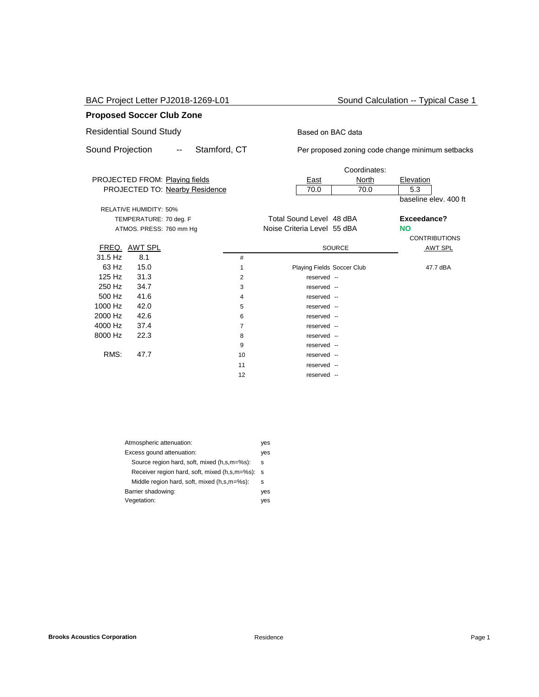BAC Project Letter PJ2018-1269-L01 Sound Calculation -- Typical Case 1

### **Proposed Soccer Club Zone**

# Residential Sound Study **Based on BAC data**

Sound Projection -- Stamford, CT Per proposed zoning code change minimum setbacks

|         |                               |                                |    |                             | Coordinates:  |                       |
|---------|-------------------------------|--------------------------------|----|-----------------------------|---------------|-----------------------|
|         |                               | PROJECTED FROM: Playing fields |    | <u>East</u>                 | North         | Elevation             |
|         |                               | PROJECTED TO: Nearby Residence |    | 70.0                        | 70.0          | 5.3                   |
|         |                               |                                |    |                             |               | baseline elev. 400 ft |
|         | <b>RELATIVE HUMIDITY: 50%</b> |                                |    |                             |               |                       |
|         | TEMPERATURE: 70 deg. F        |                                |    | Total Sound Level 48 dBA    |               | Exceedance?           |
|         | ATMOS. PRESS: 760 mm Hg       |                                |    | Noise Criteria Level 55 dBA |               | <b>NO</b>             |
|         |                               |                                |    |                             |               | <b>CONTRIBUTIONS</b>  |
|         | FREQ. AWT SPL                 |                                |    |                             | <b>SOURCE</b> | <b>AWT SPL</b>        |
| 31.5 Hz | 8.1                           |                                | #  |                             |               |                       |
| 63 Hz   | 15.0                          |                                | 1  | Playing Fields Soccer Club  |               | 47.7 dBA              |
| 125 Hz  | 31.3                          |                                | 2  | reserved --                 |               |                       |
| 250 Hz  | 34.7                          |                                | 3  | reserved --                 |               |                       |
| 500 Hz  | 41.6                          |                                | 4  | reserved --                 |               |                       |
| 1000 Hz | 42.0                          |                                | 5  | reserved --                 |               |                       |
| 2000 Hz | 42.6                          |                                | 6  | reserved --                 |               |                       |
| 4000 Hz | 37.4                          |                                | 7  | reserved --                 |               |                       |
| 8000 Hz | 22.3                          |                                | 8  | reserved --                 |               |                       |
|         |                               |                                | 9  | reserved --                 |               |                       |
| RMS:    | 47.7                          |                                | 10 | reserved --                 |               |                       |
|         |                               |                                | 11 | reserved --                 |               |                       |
|         |                               |                                | 12 | reserved --                 |               |                       |
|         |                               |                                |    |                             |               |                       |

| Atmospheric attenuation:                      | yes |
|-----------------------------------------------|-----|
| Excess gound attenuation:                     | yes |
| Source region hard, soft, mixed (h,s,m=%s):   | s   |
| Receiver region hard, soft, mixed (h,s,m=%s): | s   |
| Middle region hard, soft, mixed (h,s,m=%s):   | s   |
| Barrier shadowing:                            | ves |
| Vegetation:                                   | ves |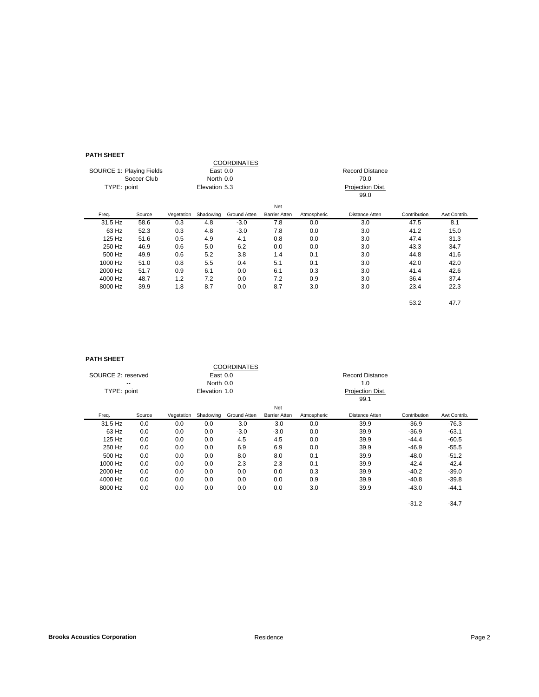#### **PATH SHEET**

| гангэнцсг                |             |            |               |                    |                      |             |                        |              |              |
|--------------------------|-------------|------------|---------------|--------------------|----------------------|-------------|------------------------|--------------|--------------|
|                          |             |            |               | <b>COORDINATES</b> |                      |             |                        |              |              |
| SOURCE 1: Playing Fields |             |            | East 0.0      |                    |                      |             | <b>Record Distance</b> |              |              |
|                          | Soccer Club |            | North 0.0     |                    |                      |             | 70.0                   |              |              |
| TYPE: point              |             |            | Elevation 5.3 |                    |                      |             | Projection Dist.       |              |              |
|                          |             |            |               |                    |                      |             | 99.0                   |              |              |
|                          |             |            |               |                    | Net                  |             |                        |              |              |
| Freq.                    | Source      | Vegetation | Shadowing     | Ground Atten       | <b>Barrier Atten</b> | Atmospheric | Distance Atten         | Contribution | Awt Contrib. |
| 31.5 Hz                  | 58.6        | 0.3        | 4.8           | $-3.0$             | 7.8                  | 0.0         | 3.0                    | 47.5         | 8.1          |
| 63 Hz                    | 52.3        | 0.3        | 4.8           | $-3.0$             | 7.8                  | 0.0         | 3.0                    | 41.2         | 15.0         |
| 125 Hz                   | 51.6        | 0.5        | 4.9           | 4.1                | 0.8                  | 0.0         | 3.0                    | 47.4         | 31.3         |
| 250 Hz                   | 46.9        | 0.6        | 5.0           | 6.2                | 0.0                  | 0.0         | 3.0                    | 43.3         | 34.7         |
| 500 Hz                   | 49.9        | 0.6        | 5.2           | 3.8                | 1.4                  | 0.1         | 3.0                    | 44.8         | 41.6         |
| 1000 Hz                  | 51.0        | 0.8        | 5.5           | 0.4                | 5.1                  | 0.1         | 3.0                    | 42.0         | 42.0         |
| 2000 Hz                  | 51.7        | 0.9        | 6.1           | 0.0                | 6.1                  | 0.3         | 3.0                    | 41.4         | 42.6         |
| 4000 Hz                  | 48.7        | 1.2        | 7.2           | 0.0                | 7.2                  | 0.9         | 3.0                    | 36.4         | 37.4         |
| 8000 Hz                  | 39.9        | 1.8        | 8.7           | 0.0                | 8.7                  | 3.0         | 3.0                    | 23.4         | 22.3         |
|                          |             |            |               |                    |                      |             |                        | 53.2         | 47.7         |

#### **PATH SHEET**

| гангэлсэн          |        |            |               |                    |                      |             |                        |              |              |
|--------------------|--------|------------|---------------|--------------------|----------------------|-------------|------------------------|--------------|--------------|
|                    |        |            |               | <b>COORDINATES</b> |                      |             |                        |              |              |
| SOURCE 2: reserved |        |            | East 0.0      |                    |                      |             | <b>Record Distance</b> |              |              |
| --                 |        |            | North 0.0     |                    |                      |             | 1.0                    |              |              |
| TYPE: point        |        |            | Elevation 1.0 |                    |                      |             | Projection Dist.       |              |              |
|                    |        |            |               |                    |                      |             | 99.1                   |              |              |
|                    |        |            |               |                    | Net                  |             |                        |              |              |
| Freq.              | Source | Vegetation | Shadowing     | Ground Atten       | <b>Barrier Atten</b> | Atmospheric | Distance Atten         | Contribution | Awt Contrib. |
| 31.5 Hz            | 0.0    | 0.0        | 0.0           | $-3.0$             | $-3.0$               | 0.0         | 39.9                   | $-36.9$      | $-76.3$      |
| 63 Hz              | 0.0    | 0.0        | 0.0           | $-3.0$             | $-3.0$               | 0.0         | 39.9                   | $-36.9$      | $-63.1$      |
| 125 Hz             | 0.0    | 0.0        | 0.0           | 4.5                | 4.5                  | 0.0         | 39.9                   | $-44.4$      | $-60.5$      |
| 250 Hz             | 0.0    | 0.0        | 0.0           | 6.9                | 6.9                  | 0.0         | 39.9                   | $-46.9$      | $-55.5$      |
| 500 Hz             | 0.0    | 0.0        | 0.0           | 8.0                | 8.0                  | 0.1         | 39.9                   | $-48.0$      | $-51.2$      |
| 1000 Hz            | 0.0    | 0.0        | 0.0           | 2.3                | 2.3                  | 0.1         | 39.9                   | $-42.4$      | $-42.4$      |
| 2000 Hz            | 0.0    | 0.0        | 0.0           | 0.0                | 0.0                  | 0.3         | 39.9                   | $-40.2$      | $-39.0$      |
| 4000 Hz            | 0.0    | 0.0        | 0.0           | 0.0                | 0.0                  | 0.9         | 39.9                   | $-40.8$      | $-39.8$      |
| 8000 Hz            | 0.0    | 0.0        | 0.0           | 0.0                | 0.0                  | 3.0         | 39.9                   | $-43.0$      | $-44.1$      |
|                    |        |            |               |                    |                      |             |                        | $-31.2$      | $-34.7$      |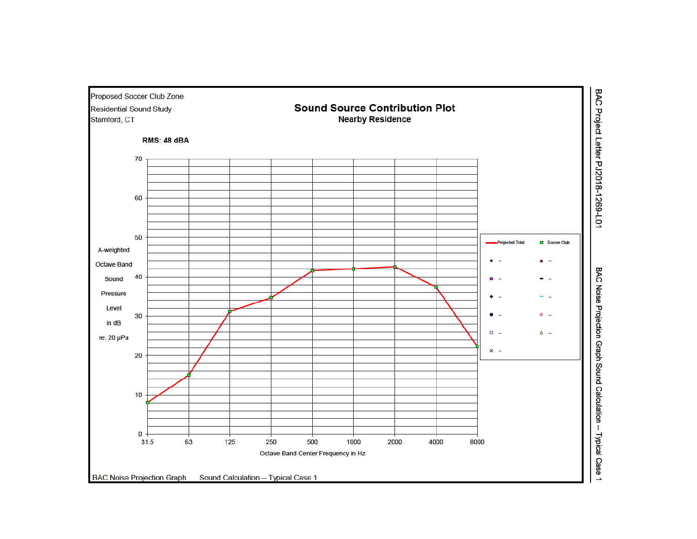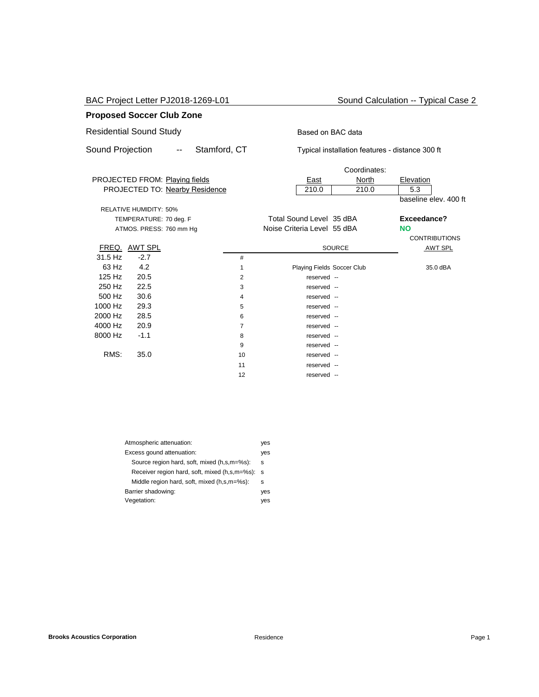BAC Project Letter PJ2018-1269-L01 Sound Calculation -- Typical Case 2

### **Proposed Soccer Club Zone**

# Residential Sound Study **Based on BAC data**

Sound Projection -- Stamford, CT Typical installation features - distance 300 ft

|         |                               |                                |    |                             | Coordinates:               |                       |
|---------|-------------------------------|--------------------------------|----|-----------------------------|----------------------------|-----------------------|
|         |                               | PROJECTED FROM: Playing fields |    | <u>East</u>                 | North                      | Elevation             |
|         |                               | PROJECTED TO: Nearby Residence |    | 210.0                       | 210.0                      | 5.3                   |
|         |                               |                                |    |                             |                            | baseline elev. 400 ft |
|         | <b>RELATIVE HUMIDITY: 50%</b> |                                |    |                             |                            |                       |
|         | TEMPERATURE: 70 deg. F        |                                |    | Total Sound Level 35 dBA    |                            | Exceedance?           |
|         | ATMOS. PRESS: 760 mm Hg       |                                |    | Noise Criteria Level 55 dBA |                            | <b>NO</b>             |
|         |                               |                                |    |                             |                            | <b>CONTRIBUTIONS</b>  |
|         | FREQ. AWT SPL                 |                                |    |                             | <b>SOURCE</b>              | <b>AWT SPL</b>        |
| 31.5 Hz | $-2.7$                        |                                | #  |                             |                            |                       |
| 63 Hz   | 4.2                           |                                | 1  |                             | Playing Fields Soccer Club | 35.0 dBA              |
| 125 Hz  | 20.5                          |                                | 2  | reserved --                 |                            |                       |
| 250 Hz  | 22.5                          |                                | 3  | reserved --                 |                            |                       |
| 500 Hz  | 30.6                          |                                | 4  | reserved --                 |                            |                       |
| 1000 Hz | 29.3                          |                                | 5  | reserved --                 |                            |                       |
| 2000 Hz | 28.5                          |                                | 6  | reserved --                 |                            |                       |
| 4000 Hz | 20.9                          |                                | 7  | reserved --                 |                            |                       |
| 8000 Hz | $-1.1$                        |                                | 8  | reserved --                 |                            |                       |
|         |                               |                                | 9  | reserved --                 |                            |                       |
| RMS:    | 35.0                          |                                | 10 | reserved --                 |                            |                       |
|         |                               |                                | 11 | reserved --                 |                            |                       |
|         |                               |                                | 12 | reserved --                 |                            |                       |
|         |                               |                                |    |                             |                            |                       |

| Atmospheric attenuation:                      | yes |
|-----------------------------------------------|-----|
| Excess gound attenuation:                     | yes |
| Source region hard, soft, mixed (h,s,m=%s):   | s   |
| Receiver region hard, soft, mixed (h,s,m=%s): | s   |
| Middle region hard, soft, mixed (h,s,m=%s):   | s   |
| Barrier shadowing:                            | yes |
| Vegetation:                                   | ves |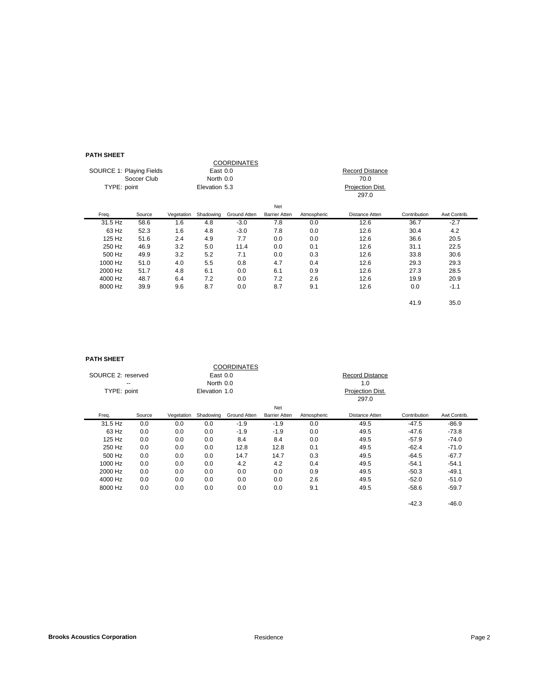#### **PATH SHEET**

| .                        |             |            |               |                    |                      |             |                        |              |              |
|--------------------------|-------------|------------|---------------|--------------------|----------------------|-------------|------------------------|--------------|--------------|
|                          |             |            |               | <b>COORDINATES</b> |                      |             |                        |              |              |
| SOURCE 1: Playing Fields |             |            | East 0.0      |                    |                      |             | <b>Record Distance</b> |              |              |
|                          | Soccer Club |            | North 0.0     |                    |                      |             | 70.0                   |              |              |
| TYPE: point              |             |            | Elevation 5.3 |                    |                      |             | Projection Dist.       |              |              |
|                          |             |            |               |                    |                      |             | 297.0                  |              |              |
|                          |             |            |               |                    | Net                  |             |                        |              |              |
| Freq.                    | Source      | Vegetation | Shadowing     | Ground Atten       | <b>Barrier Atten</b> | Atmospheric | Distance Atten         | Contribution | Awt Contrib. |
| 31.5 Hz                  | 58.6        | 1.6        | 4.8           | $-3.0$             | 7.8                  | 0.0         | 12.6                   | 36.7         | $-2.7$       |
| 63 Hz                    | 52.3        | 1.6        | 4.8           | $-3.0$             | 7.8                  | 0.0         | 12.6                   | 30.4         | 4.2          |
| 125 Hz                   | 51.6        | 2.4        | 4.9           | 7.7                | 0.0                  | 0.0         | 12.6                   | 36.6         | 20.5         |
| 250 Hz                   | 46.9        | 3.2        | 5.0           | 11.4               | 0.0                  | 0.1         | 12.6                   | 31.1         | 22.5         |
| 500 Hz                   | 49.9        | 3.2        | 5.2           | 7.1                | 0.0                  | 0.3         | 12.6                   | 33.8         | 30.6         |
| 1000 Hz                  | 51.0        | 4.0        | 5.5           | 0.8                | 4.7                  | 0.4         | 12.6                   | 29.3         | 29.3         |
| 2000 Hz                  | 51.7        | 4.8        | 6.1           | 0.0                | 6.1                  | 0.9         | 12.6                   | 27.3         | 28.5         |
| 4000 Hz                  | 48.7        | 6.4        | 7.2           | 0.0                | 7.2                  | 2.6         | 12.6                   | 19.9         | 20.9         |
| 8000 Hz                  | 39.9        | 9.6        | 8.7           | 0.0                | 8.7                  | 9.1         | 12.6                   | 0.0          | $-1.1$       |
|                          |             |            |               |                    |                      |             |                        | 41.9         | 35.0         |

#### **PATH SHEET**

| гангэлсэн          |        |            |               |                    |                      |             |                        |              |              |
|--------------------|--------|------------|---------------|--------------------|----------------------|-------------|------------------------|--------------|--------------|
|                    |        |            |               | <b>COORDINATES</b> |                      |             |                        |              |              |
| SOURCE 2: reserved |        |            | East 0.0      |                    |                      |             | <b>Record Distance</b> |              |              |
|                    | --     |            | North 0.0     |                    |                      |             | 1.0                    |              |              |
| TYPE: point        |        |            | Elevation 1.0 |                    |                      |             | Projection Dist.       |              |              |
|                    |        |            |               |                    |                      |             | 297.0                  |              |              |
|                    |        |            |               |                    | Net                  |             |                        |              |              |
| Freq.              | Source | Vegetation | Shadowing     | Ground Atten       | <b>Barrier Atten</b> | Atmospheric | Distance Atten         | Contribution | Awt Contrib. |
| 31.5 Hz            | 0.0    | 0.0        | 0.0           | $-1.9$             | $-1.9$               | 0.0         | 49.5                   | $-47.5$      | $-86.9$      |
| 63 Hz              | 0.0    | 0.0        | 0.0           | $-1.9$             | $-1.9$               | 0.0         | 49.5                   | $-47.6$      | $-73.8$      |
| 125 Hz             | 0.0    | 0.0        | 0.0           | 8.4                | 8.4                  | 0.0         | 49.5                   | $-57.9$      | $-74.0$      |
| 250 Hz             | 0.0    | 0.0        | 0.0           | 12.8               | 12.8                 | 0.1         | 49.5                   | $-62.4$      | $-71.0$      |
| 500 Hz             | 0.0    | 0.0        | 0.0           | 14.7               | 14.7                 | 0.3         | 49.5                   | $-64.5$      | $-67.7$      |
| 1000 Hz            | 0.0    | 0.0        | 0.0           | 4.2                | 4.2                  | 0.4         | 49.5                   | $-54.1$      | $-54.1$      |
| 2000 Hz            | 0.0    | 0.0        | 0.0           | 0.0                | 0.0                  | 0.9         | 49.5                   | $-50.3$      | $-49.1$      |
| 4000 Hz            | 0.0    | 0.0        | 0.0           | 0.0                | 0.0                  | 2.6         | 49.5                   | $-52.0$      | $-51.0$      |
| 8000 Hz            | 0.0    | 0.0        | 0.0           | 0.0                | 0.0                  | 9.1         | 49.5                   | $-58.6$      | $-59.7$      |
|                    |        |            |               |                    |                      |             |                        | $-42.3$      | $-46.0$      |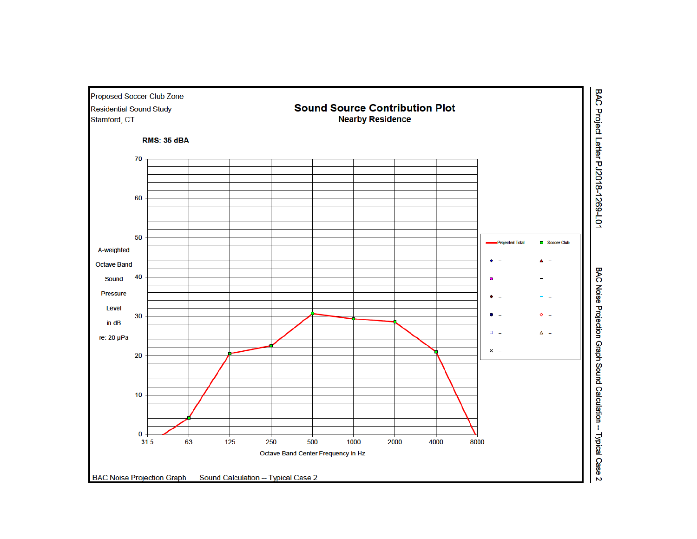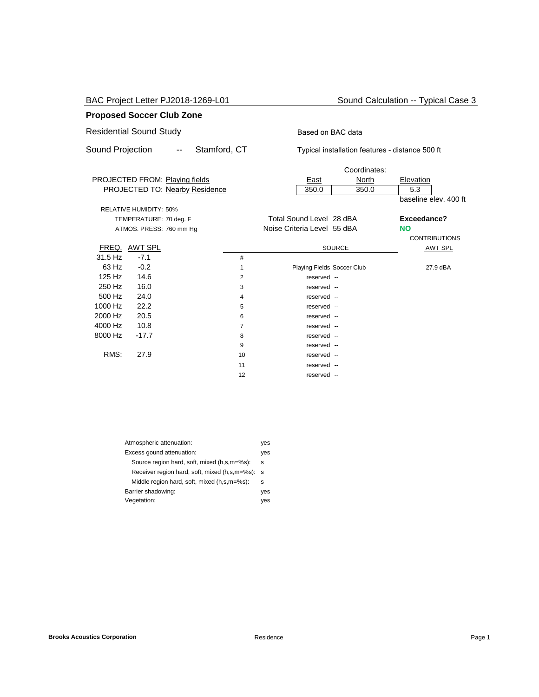BAC Project Letter PJ2018-1269-L01 Sound Calculation -- Typical Case 3

### **Proposed Soccer Club Zone**

# Residential Sound Study **Based on BAC data**

Sound Projection -- Stamford, CT Typical installation features - distance 500 ft

|         |                               |                                |    |                             | Coordinates:               |                       |
|---------|-------------------------------|--------------------------------|----|-----------------------------|----------------------------|-----------------------|
|         |                               | PROJECTED FROM: Playing fields |    | <u>East</u>                 | North                      | Elevation             |
|         |                               | PROJECTED TO: Nearby Residence |    | 350.0                       | 350.0                      | 5.3                   |
|         |                               |                                |    |                             |                            | baseline elev. 400 ft |
|         | <b>RELATIVE HUMIDITY: 50%</b> |                                |    |                             |                            |                       |
|         | TEMPERATURE: 70 deg. F        |                                |    | Total Sound Level 28 dBA    |                            | Exceedance?           |
|         | ATMOS. PRESS: 760 mm Hg       |                                |    | Noise Criteria Level 55 dBA |                            | <b>NO</b>             |
|         |                               |                                |    |                             |                            | <b>CONTRIBUTIONS</b>  |
|         | FREQ. AWT SPL                 |                                |    |                             | <b>SOURCE</b>              | <b>AWT SPL</b>        |
| 31.5 Hz | $-7.1$                        |                                | #  |                             |                            |                       |
| 63 Hz   | $-0.2$                        |                                | 1  |                             | Playing Fields Soccer Club | 27.9 dBA              |
| 125 Hz  | 14.6                          |                                | 2  | reserved --                 |                            |                       |
| 250 Hz  | 16.0                          |                                | 3  | reserved --                 |                            |                       |
| 500 Hz  | 24.0                          |                                | 4  | reserved --                 |                            |                       |
| 1000 Hz | 22.2                          |                                | 5  | reserved --                 |                            |                       |
| 2000 Hz | 20.5                          |                                | 6  | reserved --                 |                            |                       |
| 4000 Hz | 10.8                          |                                | 7  | reserved --                 |                            |                       |
| 8000 Hz | $-17.7$                       |                                | 8  | reserved --                 |                            |                       |
|         |                               |                                | 9  | reserved --                 |                            |                       |
| RMS:    | 27.9                          |                                | 10 | reserved --                 |                            |                       |
|         |                               |                                | 11 | reserved --                 |                            |                       |
|         |                               |                                | 12 | reserved --                 |                            |                       |
|         |                               |                                |    |                             |                            |                       |

| Atmospheric attenuation:                      | yes |
|-----------------------------------------------|-----|
| Excess gound attenuation:                     | yes |
| Source region hard, soft, mixed (h,s,m=%s):   | s   |
| Receiver region hard, soft, mixed (h,s,m=%s): | s   |
| Middle region hard, soft, mixed (h,s,m=%s):   | s   |
| Barrier shadowing:                            | yes |
| Vegetation:                                   | ves |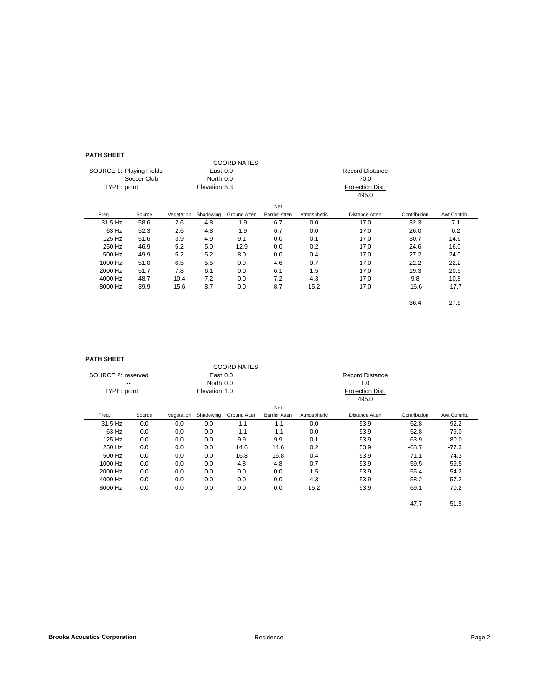#### **PATH SHEET**

| .                        |        |               |           |              |                      |                  |                |              |              |
|--------------------------|--------|---------------|-----------|--------------|----------------------|------------------|----------------|--------------|--------------|
| COORDINATES              |        |               |           |              |                      |                  |                |              |              |
| SOURCE 1: Playing Fields |        | East 0.0      |           |              |                      | Record Distance  |                |              |              |
| Soccer Club              |        | North 0.0     |           |              |                      |                  |                |              |              |
| TYPE: point              |        | Elevation 5.3 |           |              |                      | Projection Dist. |                |              |              |
|                          |        |               |           |              |                      |                  | 495.0          |              |              |
|                          |        |               |           |              | Net                  |                  |                |              |              |
| Freq.                    | Source | Vegetation    | Shadowing | Ground Atten | <b>Barrier Atten</b> | Atmospheric      | Distance Atten | Contribution | Awt Contrib. |
| 31.5 Hz                  | 58.6   | 2.6           | 4.8       | $-1.9$       | 6.7                  | 0.0              | 17.0           | 32.3         | $-7.1$       |
| 63 Hz                    | 52.3   | 2.6           | 4.8       | $-1.9$       | 6.7                  | 0.0              | 17.0           | 26.0         | $-0.2$       |
| 125 Hz                   | 51.6   | 3.9           | 4.9       | 9.1          | 0.0                  | 0.1              | 17.0           | 30.7         | 14.6         |
| 250 Hz                   | 46.9   | 5.2           | 5.0       | 12.9         | 0.0                  | 0.2              | 17.0           | 24.6         | 16.0         |
| 500 Hz                   | 49.9   | 5.2           | 5.2       | 8.0          | 0.0                  | 0.4              | 17.0           | 27.2         | 24.0         |
| 1000 Hz                  | 51.0   | 6.5           | 5.5       | 0.9          | 4.6                  | 0.7              | 17.0           | 22.2         | 22.2         |
| 2000 Hz                  | 51.7   | 7.8           | 6.1       | 0.0          | 6.1                  | 1.5              | 17.0           | 19.3         | 20.5         |
| 4000 Hz                  | 48.7   | 10.4          | 7.2       | 0.0          | 7.2                  | 4.3              | 17.0           | 9.8          | 10.8         |
| 8000 Hz                  | 39.9   | 15.6          | 8.7       | 0.0          | 8.7                  | 15.2             | 17.0           | $-16.6$      | $-17.7$      |
|                          |        |               |           |              |                      |                  |                | 36.4         | 27.9         |

#### **PATH SHEET**

| гангэлсэн                |        |                       |           |                    |                      |                        |                |              |              |
|--------------------------|--------|-----------------------|-----------|--------------------|----------------------|------------------------|----------------|--------------|--------------|
|                          |        |                       |           | <b>COORDINATES</b> |                      |                        |                |              |              |
| SOURCE 2: reserved<br>-- |        | East 0.0<br>North 0.0 |           |                    |                      | <b>Record Distance</b> |                |              |              |
|                          |        |                       |           |                    |                      |                        |                |              |              |
| TYPE: point              |        | Elevation 1.0         |           |                    |                      | Projection Dist.       |                |              |              |
|                          |        |                       |           |                    |                      |                        | 495.0          |              |              |
|                          |        |                       |           |                    | Net                  |                        |                |              |              |
| Freq.                    | Source | Vegetation            | Shadowing | Ground Atten       | <b>Barrier Atten</b> | Atmospheric            | Distance Atten | Contribution | Awt Contrib. |
| 31.5 Hz                  | 0.0    | 0.0                   | 0.0       | $-1.1$             | $-1.1$               | 0.0                    | 53.9           | $-52.8$      | $-92.2$      |
| 63 Hz                    | 0.0    | 0.0                   | 0.0       | $-1.1$             | $-1.1$               | 0.0                    | 53.9           | $-52.8$      | $-79.0$      |
| 125 Hz                   | 0.0    | 0.0                   | 0.0       | 9.9                | 9.9                  | 0.1                    | 53.9           | $-63.9$      | $-80.0$      |
| 250 Hz                   | 0.0    | 0.0                   | 0.0       | 14.6               | 14.6                 | 0.2                    | 53.9           | $-68.7$      | $-77.3$      |
| 500 Hz                   | 0.0    | 0.0                   | 0.0       | 16.8               | 16.8                 | 0.4                    | 53.9           | $-71.1$      | $-74.3$      |
| 1000 Hz                  | 0.0    | 0.0                   | 0.0       | 4.8                | 4.8                  | 0.7                    | 53.9           | $-59.5$      | $-59.5$      |
| 2000 Hz                  | 0.0    | 0.0                   | 0.0       | 0.0                | 0.0                  | 1.5                    | 53.9           | $-55.4$      | $-54.2$      |
| 4000 Hz                  | 0.0    | 0.0                   | 0.0       | 0.0                | 0.0                  | 4.3                    | 53.9           | $-58.2$      | $-57.2$      |
| 8000 Hz                  | 0.0    | 0.0                   | 0.0       | 0.0                | 0.0                  | 15.2                   | 53.9           | $-69.1$      | $-70.2$      |
|                          |        |                       |           |                    |                      |                        |                | $-47.7$      | $-51.5$      |